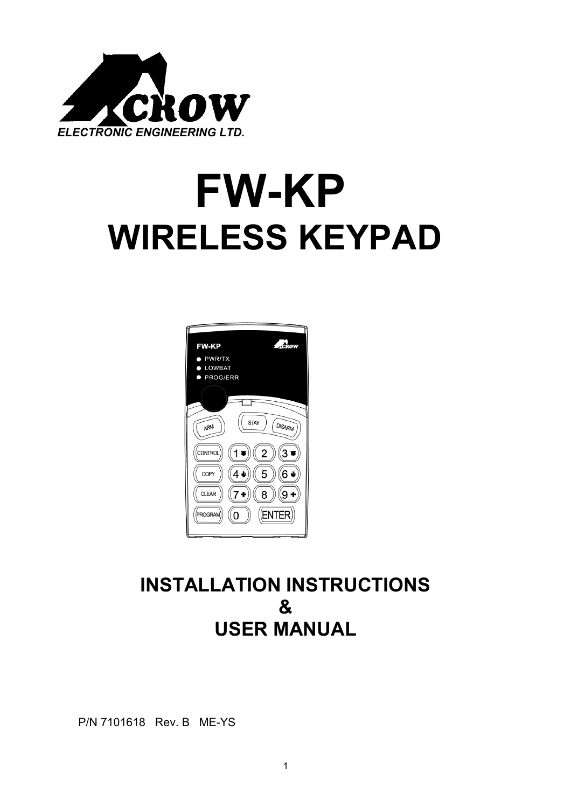

# **FW-KP WIRELESS KEYPAD**



# **INSTALLATION INSTRUCTIONS & USER MANUAL**

P/N 7101618 Rev. B ME-YS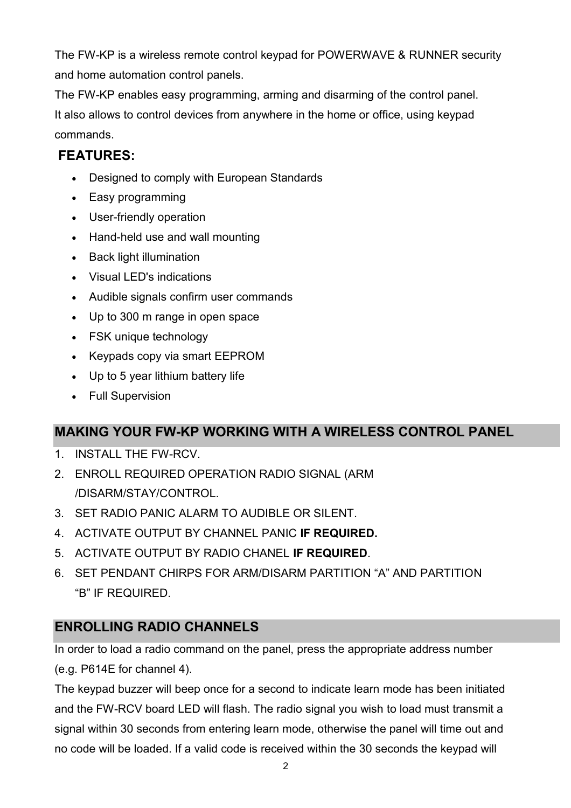The FW-KP is a wireless remote control keypad for POWERWAVE & RUNNER security and home automation control panels.

The FW-KP enables easy programming, arming and disarming of the control panel. It also allows to control devices from anywhere in the home or office, using keypad commands.

## **FEATURES:**

- Designed to comply with European Standards
- Easy programming
- User-friendly operation
- Hand-held use and wall mounting
- Back light illumination
- Visual LED's indications
- Audible signals confirm user commands
- Up to 300 m range in open space
- FSK unique technology
- Keypads copy via smart EEPROM
- Up to 5 year lithium battery life
- Full Supervision

# **MAKING YOUR FW-KP WORKING WITH A WIRELESS CONTROL PANEL**

- 1. INSTALL THE FW-RCV.
- 2. ENROLL REQUIRED OPERATION RADIO SIGNAL (ARM /DISARM/STAY/CONTROL.
- 3. SET RADIO PANIC ALARM TO AUDIBLE OR SILENT.
- 4. ACTIVATE OUTPUT BY CHANNEL PANIC **IF REQUIRED.**
- 5. ACTIVATE OUTPUT BY RADIO CHANEL **IF REQUIRED**.
- 6. SET PENDANT CHIRPS FOR ARM/DISARM PARTITION "A" AND PARTITION "B" IF REQUIRED.

# **ENROLLING RADIO CHANNELS**

In order to load a radio command on the panel, press the appropriate address number (e.g. P614E for channel 4).

The keypad buzzer will beep once for a second to indicate learn mode has been initiated and the FW-RCV board LED will flash. The radio signal you wish to load must transmit a signal within 30 seconds from entering learn mode, otherwise the panel will time out and no code will be loaded. If a valid code is received within the 30 seconds the keypad will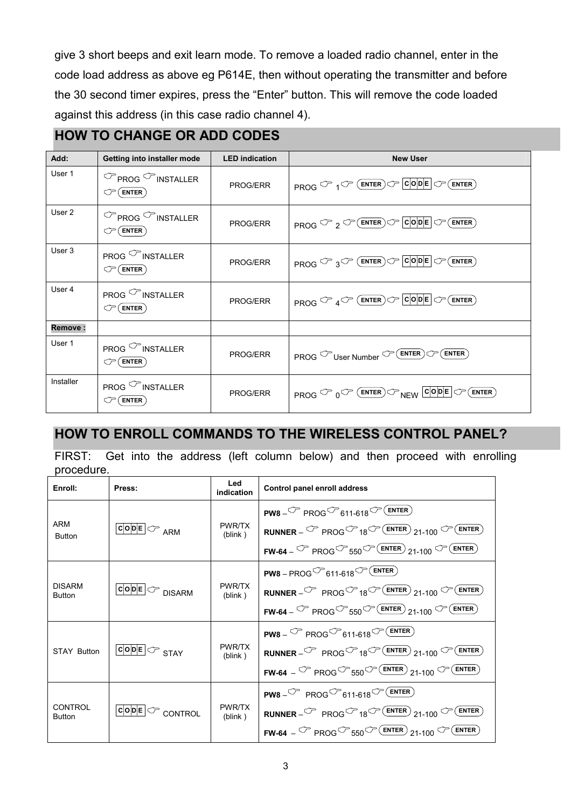give 3 short beeps and exit learn mode. To remove a loaded radio channel, enter in the code load address as above eg P614E, then without operating the transmitter and before the 30 second timer expires, press the "Enter" button. This will remove the code loaded against this address (in this case radio channel 4).

#### **HOW TO CHANGE OR ADD CODES**

| Add:      | Getting into installer mode                                            | <b>LED</b> indication | <b>New User</b>                                                                                                                                                                                                                                                                                                                                                                                                                                                                                                                                                  |
|-----------|------------------------------------------------------------------------|-----------------------|------------------------------------------------------------------------------------------------------------------------------------------------------------------------------------------------------------------------------------------------------------------------------------------------------------------------------------------------------------------------------------------------------------------------------------------------------------------------------------------------------------------------------------------------------------------|
| User 1    | $\mathbb{C}$ PROG $\mathbb{C}$ INSTALLER<br>$\mathbb{C}^{\!-}$ (enter) | PROG/ERR              | <b>PROG <math>\circlearrowright</math></b> 1 $\circlearrowright$ (ENTER) $\circlearrowright$ $\circlearrowright$ $\circlearrowright$ $\circlearrowright$ $\circlearrowright$ $\circlearrowright$ $\circlearrowright$ $\circlearrowright$ $\circlearrowright$ $\circlearrowright$ $\circlearrowright$ $\circlearrowright$ $\circlearrowright$ $\circlearrowright$ $\circlearrowright$ $\circlearrowright$ $\circlearrowright$ $\circlearrowright$ $\circlearrowright$ $\circlearrowright$ $\circlearrowright$ $\circlearrowright$ $\circlearrowright$ $\circlear$ |
| User 2    | $\mathbb{C}$ PROG $\mathbb{C}$ INSTALLER<br>$\mathbb{C}^{\!-}$ (enter) | PROG/ERR              | <b>PROG </b> $\mathbb{C}$ 2 $\mathbb{C}$ <b>ENTER</b> $\mathbb{C}$ <b>CODE</b> $\mathbb{C}$ <b>ENTER</b>                                                                                                                                                                                                                                                                                                                                                                                                                                                         |
| User 3    | PROG <sup>C</sup> INSTALLER<br>$\mathbb{CP}$ (Enter)                   | PROG/ERR              | <b>PROG <math>\circlearrowright</math></b> 3 $\circlearrowright$ (ENTER) $\circlearrowright$ $\circlearrowright$ $\circlearrowright$ $\circlearrowright$ $\circlearrowright$ $\circlearrowright$ $\circlearrowright$ $\circlearrowright$ $\circlearrowright$ $\circlearrowright$ $\circlearrowright$ $\circlearrowright$ $\circlearrowright$ $\circlearrowright$ $\circlearrowright$ $\circlearrowright$ $\circlearrowright$ $\circlearrowright$ $\circlearrowright$ $\circlearrowright$ $\circlearrowright$ $\circlearrowright$ $\circlearrowright$ $\circlear$ |
| User 4    | PROG <sup>C</sup> INSTALLER<br>$\circlearrowleft$ ( enter )            | <b>PROG/ERR</b>       | <b>PROG <math>\circled{C}</math></b> 4 $\circled{C}$ <b>ENTER</b> $\circled{C}$ <b>COPE</b> $\circled{C}$ <b>ENTER</b>                                                                                                                                                                                                                                                                                                                                                                                                                                           |
| Remove:   |                                                                        |                       |                                                                                                                                                                                                                                                                                                                                                                                                                                                                                                                                                                  |
| User 1    | PROG <sup>C</sup> INSTALLER<br>$\circlearrowleft$ (enter)              | PROG/ERR              | <b>PROG</b> $\mathbb{C}$ User Number $\mathbb{C}$ (ENTER) $\mathbb{C}$ (ENTER)                                                                                                                                                                                                                                                                                                                                                                                                                                                                                   |
| Installer | PROG <sup>C</sup> INSTALLER<br>$\textcircled{r}$ (enter)               | PROG/ERR              | <b>PROG <math>\circled{C}</math></b> 0 $\circled{C}$ (ENTER) $\circled{C}$ NEW $\circled{c o p }$ $\circlearrowleft$ (ENTER)                                                                                                                                                                                                                                                                                                                                                                                                                                     |

#### **HOW TO ENROLL COMMANDS TO THE WIRELESS CONTROL PANEL?**

FIRST: Get into the address (left column below) and then proceed with enrolling procedure.

| Enroll:                        | Press:                                             | Led<br>indication | Control panel enroll address                                                                                                                                                                                                                                                                |
|--------------------------------|----------------------------------------------------|-------------------|---------------------------------------------------------------------------------------------------------------------------------------------------------------------------------------------------------------------------------------------------------------------------------------------|
| ARM<br><b>Button</b>           |                                                    | PWR/TX<br>(blink) | <b>PW8</b> $-\mathbb{C}$ PROG $\mathbb{C}$ 611-618 $\mathbb{C}$ (ENTER)<br><b>RUNNER</b> – $\mathbb{C}$ PROG $\mathbb{C}$ 18 $\mathbb{C}$ (ENTER) 21-100 $\mathbb{C}$ (ENTER)<br><b>FW-64</b> – $\mathbb{CP}$ PROG $\mathbb{CP}$ 550 $\mathbb{CP}$ (ENTER) 21-100 $\mathbb{CP}$ (ENTER)     |
| <b>DISARM</b><br><b>Button</b> | $ {\tt c} {\tt o} {\tt p} $ $\subset {\tt DISARM}$ | PWR/TX<br>(blink) | <b>PW8</b> – PROG $\mathcal{O}$ 611-618 $\mathcal{O}$ (ENTER)<br><b>RUNNER</b> - $\mathbb{C}$ PROG $\mathbb{C}$ 18 $\mathbb{C}$ (ENTER) 21-100 $\mathbb{C}$ (ENTER)<br><b>FW-64</b> – $\circled{r}$ PROG $\circled{r}$ 550 $\circled{r}$ (ENTER) 21-100 $\circled{r}$ (ENTER)               |
| <b>STAY Button</b>             | $ {\tt c o e} \!\!\subset\!\!\sim_{\tt STAY}$      | PWR/TX<br>(blink) | <b>PW8</b> – $\circled{r}$ PROG $\circled{r}$ 611-618 $\circled{r}$ (ENTER)<br><b>RUNNER</b> - $\mathbb{C}$ PROG $\mathbb{C}$ 18 $\mathbb{C}$ (ENTER) 21-100 $\mathbb{C}$ (ENTER)<br><b>FW-64</b> – $\mathbb{CP}$ PROG $\mathbb{CP}$ 550 $\mathbb{CP}$ (ENTER) 21-100 $\mathbb{CP}$ (ENTER) |
| CONTROL<br><b>Button</b>       | $\overline{\text{co}}$ DE $\subset$ CONTROL        | PWR/TX<br>(blink) | <b>PW8</b> $-\sqrt{2}$ PROG $\sqrt{611-618}$ $\sqrt{2}$ (ENTER)<br><b>RUNNER</b> - $\circled{r}$ PROG $\circled{r}$ 18 $\circled{r}$ (ENTER) 21-100 $\circled{r}$ (ENTER)<br><b>FW-64</b> – $\circled{r}$ PROG $\circled{r}$ 550 $\circled{r}$ (ENTER) 21-100 $\circled{r}$ (ENTER)         |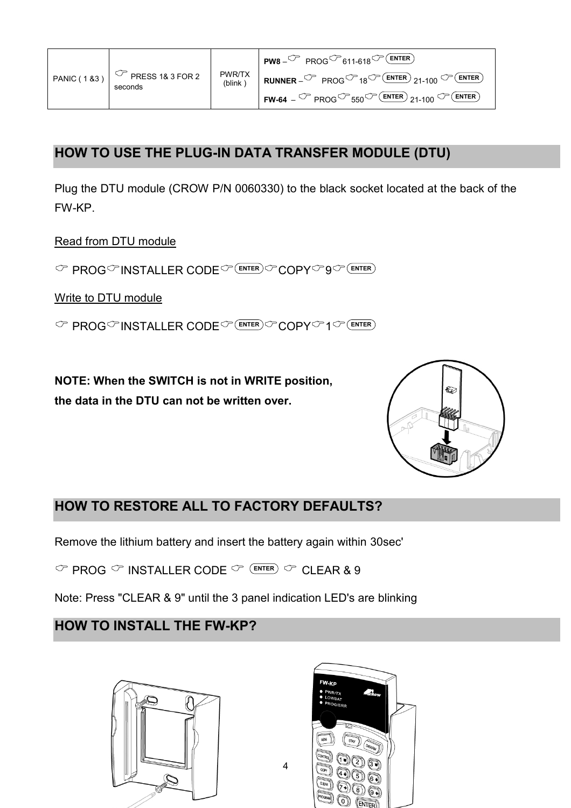|  | PANIC (183) $\boxed{\circ}$ PRESS 18 3 FOR 2<br>seconds |  | $PWS - C^P$ PROG $C^P$ 611-618 $C^P$ (ENTER)                                                                                                 |
|--|---------------------------------------------------------|--|----------------------------------------------------------------------------------------------------------------------------------------------|
|  |                                                         |  | PWR/TX <b>RUNNER</b> $-\sqrt{7}$ PROG <sup><math>\sqrt{7}</math></sup> 18 <sup><math>\sqrt{7}</math></sup> (ENTER) 21-100 $\sqrt{7}$ (ENTER) |
|  |                                                         |  | <b>FW-64</b> – $\circledcirc$ PROG $\circledcirc$ 550 $\circledcirc$ (ENTER) 21-100 $\circledcirc$ (ENTER)                                   |

#### **HOW TO USE THE PLUG-IN DATA TRANSFER MODULE (DTU)**

Plug the DTU module (CROW P/N 0060330) to the black socket located at the back of the FW-KP.

Read from DTU module

& PROG&INSTALLER CODE& **ENTER** &COPY&9& **ENTER**

Write to DTU module

 $\textcircled{F}$  PROG<sup>\*</sup>INSTALLER CODE<sup> $\textcircled{F}$ (ENTER)</sub>  $\textcircled{F}$  COPY<sup> $\textcircled{F}$ </sup>1 $\textcircled{F}$ (ENTER)</sup>

**NOTE: When the SWITCH is not in WRITE position, the data in the DTU can not be written over.** 



#### **HOW TO RESTORE ALL TO FACTORY DEFAULTS?**

Remove the lithium battery and insert the battery again within 30sec'

 $\heartsuit$  PROG  $\heartsuit$  INSTALLER CODE  $\heartsuit$  (enter)  $\heartsuit$  CLEAR & 9

Note: Press "CLEAR & 9" until the 3 panel indication LED's are blinking

## **HOW TO INSTALL THE FW-KP?**





4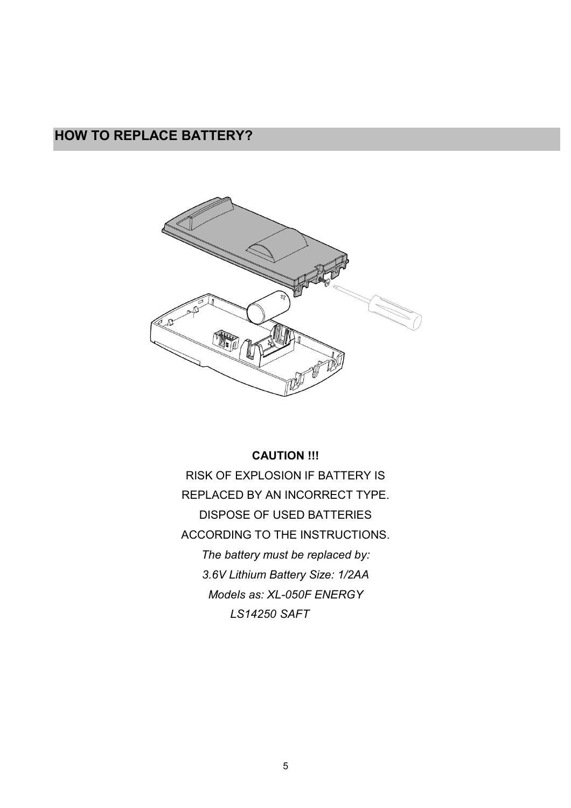## **HOW TO REPLACE BATTERY?**



**CAUTION !!!**  RISK OF EXPLOSION IF BATTERY IS REPLACED BY AN INCORRECT TYPE. DISPOSE OF USED BATTERIES ACCORDING TO THE INSTRUCTIONS. *The battery must be replaced by: 3.6V Lithium Battery Size: 1/2AA Models as: XL-050F ENERGY LS14250 SAFT*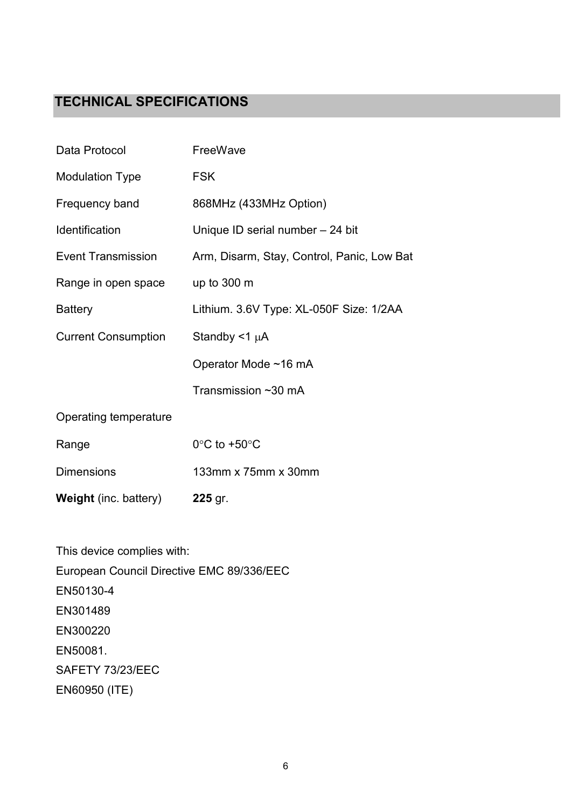### **TECHNICAL SPECIFICATIONS**

| <b>Weight</b> (inc. battery) | 225 gr.                                    |
|------------------------------|--------------------------------------------|
| <b>Dimensions</b>            | 133mm x 75mm x 30mm                        |
| Range                        | $0^{\circ}$ C to +50 $^{\circ}$ C          |
| Operating temperature        |                                            |
|                              | Transmission ~30 mA                        |
|                              | Operator Mode ~16 mA                       |
| <b>Current Consumption</b>   | Standby $<$ 1 µA                           |
| <b>Battery</b>               | Lithium. 3.6V Type: XL-050F Size: 1/2AA    |
| Range in open space          | up to $300 \text{ m}$                      |
| Event Transmission           | Arm, Disarm, Stay, Control, Panic, Low Bat |
| Identification               | Unique ID serial number - 24 bit           |
| Frequency band               | 868MHz (433MHz Option)                     |
| <b>Modulation Type</b>       | <b>FSK</b>                                 |
| Data Protocol                | FreeWave                                   |

This device complies with: European Council Directive EMC 89/336/EEC EN50130-4 EN301489 EN300220 EN50081. SAFETY 73/23/EEC EN60950 (ITE)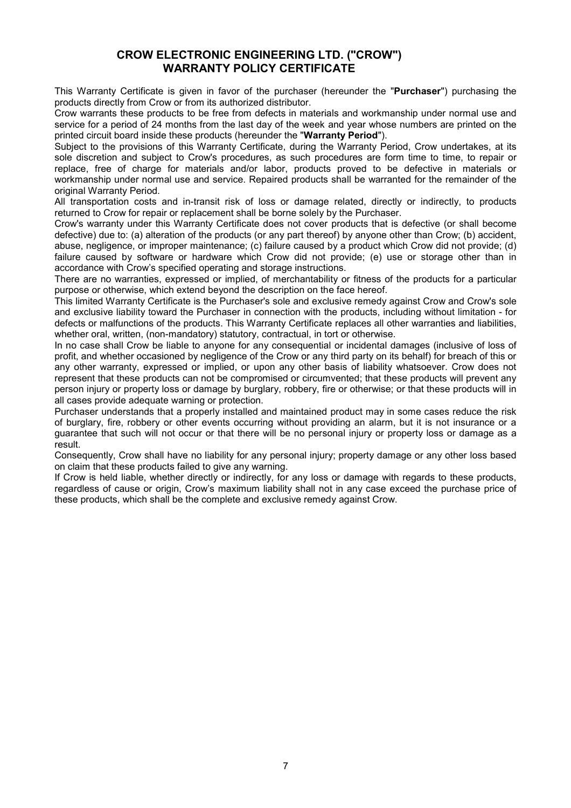#### **CROW ELECTRONIC ENGINEERING LTD. ("CROW") WARRANTY POLICY CERTIFICATE**

This Warranty Certificate is given in favor of the purchaser (hereunder the "**Purchaser**") purchasing the products directly from Crow or from its authorized distributor.

Crow warrants these products to be free from defects in materials and workmanship under normal use and service for a period of 24 months from the last day of the week and year whose numbers are printed on the printed circuit board inside these products (hereunder the "**Warranty Period**").

Subject to the provisions of this Warranty Certificate, during the Warranty Period, Crow undertakes, at its sole discretion and subject to Crow's procedures, as such procedures are form time to time, to repair or replace, free of charge for materials and/or labor, products proved to be defective in materials or workmanship under normal use and service. Repaired products shall be warranted for the remainder of the original Warranty Period.

All transportation costs and in-transit risk of loss or damage related, directly or indirectly, to products returned to Crow for repair or replacement shall be borne solely by the Purchaser.

Crow's warranty under this Warranty Certificate does not cover products that is defective (or shall become defective) due to: (a) alteration of the products (or any part thereof) by anyone other than Crow; (b) accident, abuse, negligence, or improper maintenance; (c) failure caused by a product which Crow did not provide; (d) failure caused by software or hardware which Crow did not provide; (e) use or storage other than in accordance with Crow's specified operating and storage instructions.

There are no warranties, expressed or implied, of merchantability or fitness of the products for a particular purpose or otherwise, which extend beyond the description on the face hereof.

This limited Warranty Certificate is the Purchaser's sole and exclusive remedy against Crow and Crow's sole and exclusive liability toward the Purchaser in connection with the products, including without limitation - for defects or malfunctions of the products. This Warranty Certificate replaces all other warranties and liabilities, whether oral, written, (non-mandatory) statutory, contractual, in tort or otherwise.

In no case shall Crow be liable to anyone for any consequential or incidental damages (inclusive of loss of profit, and whether occasioned by negligence of the Crow or any third party on its behalf) for breach of this or any other warranty, expressed or implied, or upon any other basis of liability whatsoever. Crow does not represent that these products can not be compromised or circumvented; that these products will prevent any person injury or property loss or damage by burglary, robbery, fire or otherwise; or that these products will in all cases provide adequate warning or protection.

Purchaser understands that a properly installed and maintained product may in some cases reduce the risk of burglary, fire, robbery or other events occurring without providing an alarm, but it is not insurance or a guarantee that such will not occur or that there will be no personal injury or property loss or damage as a result.

Consequently, Crow shall have no liability for any personal injury; property damage or any other loss based on claim that these products failed to give any warning.

If Crow is held liable, whether directly or indirectly, for any loss or damage with regards to these products, regardless of cause or origin, Crow's maximum liability shall not in any case exceed the purchase price of these products, which shall be the complete and exclusive remedy against Crow.